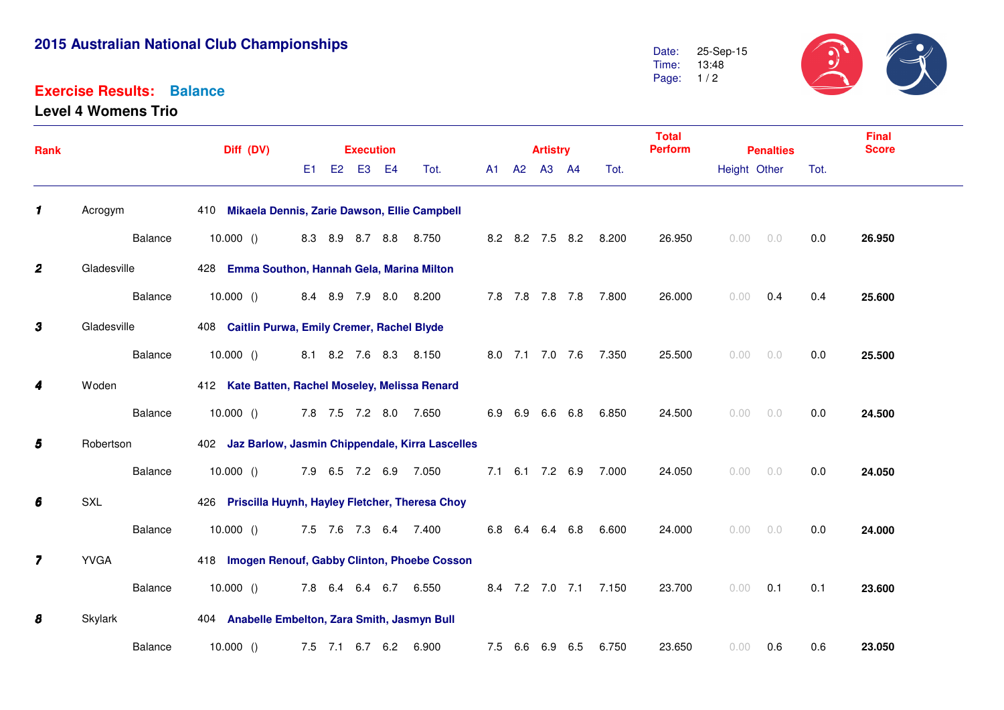## **2015 Australian National Club Championships**

## **Exercise Results:Balance**

**Level 4 Womens Trio**

 $\mathcal{L}$ 25-Sep-15 $\Omega$ Date: 13:48 Time:Page: 1/2

| Rank                    |             | Diff (DV)                                           | <b>Execution</b>      |  |          |       |  |             | <b>Artistry</b> |                 |                       | <b>Total</b><br><b>Perform</b> | <b>Penalties</b> |     |      | <b>Final</b><br><b>Score</b> |
|-------------------------|-------------|-----------------------------------------------------|-----------------------|--|----------|-------|--|-------------|-----------------|-----------------|-----------------------|--------------------------------|------------------|-----|------|------------------------------|
|                         |             |                                                     | E1.                   |  | E2 E3 E4 | Tot.  |  | A1 A2 A3 A4 |                 |                 | Tot.                  |                                | Height Other     |     | Tot. |                              |
| $\mathbf{1}$            | Acrogym     | 410 Mikaela Dennis, Zarie Dawson, Ellie Campbell    |                       |  |          |       |  |             |                 |                 |                       |                                |                  |     |      |                              |
|                         | Balance     | 10.000()                                            | 8.3 8.9 8.7 8.8 8.750 |  |          |       |  |             |                 |                 | 8.2 8.2 7.5 8.2 8.200 | 26.950                         | 0.00             | 0.0 | 0.0  | 26.950                       |
| $\boldsymbol{2}$        | Gladesville | 428 Emma Southon, Hannah Gela, Marina Milton        |                       |  |          |       |  |             |                 |                 |                       |                                |                  |     |      |                              |
|                         | Balance     | 10.000()                                            | 8.4 8.9 7.9 8.0 8.200 |  |          |       |  |             |                 |                 | 7.8 7.8 7.8 7.8 7.800 | 26.000                         | 0.00             | 0.4 | 0.4  | 25.600                       |
| $\mathbf{3}$            | Gladesville | 408 Caitlin Purwa, Emily Cremer, Rachel Blyde       |                       |  |          |       |  |             |                 |                 |                       |                                |                  |     |      |                              |
|                         | Balance     | 10.000()                                            | 8.1 8.2 7.6 8.3 8.150 |  |          |       |  |             |                 |                 | 8.0 7.1 7.0 7.6 7.350 | 25.500                         | 0.00             | 0.0 | 0.0  | 25.500                       |
| 4                       | Woden       | 412 Kate Batten, Rachel Moseley, Melissa Renard     |                       |  |          |       |  |             |                 |                 |                       |                                |                  |     |      |                              |
|                         | Balance     | 10.000()                                            | 7.8 7.5 7.2 8.0 7.650 |  |          |       |  |             |                 | 6.9 6.9 6.6 6.8 | 6.850                 | 24.500                         | 0.00             | 0.0 | 0.0  | 24.500                       |
| $\boldsymbol{5}$        | Robertson   | 402 Jaz Barlow, Jasmin Chippendale, Kirra Lascelles |                       |  |          |       |  |             |                 |                 |                       |                                |                  |     |      |                              |
|                         | Balance     | 10.000()                                            | 7.9 6.5 7.2 6.9 7.050 |  |          |       |  |             |                 |                 | 7.1 6.1 7.2 6.9 7.000 | 24.050                         | 0.00             | 0.0 | 0.0  | 24.050                       |
| 6                       | SXL         | 426 Priscilla Huynh, Hayley Fletcher, Theresa Choy  |                       |  |          |       |  |             |                 |                 |                       |                                |                  |     |      |                              |
|                         | Balance     | 10.000()                                            | 7.5 7.6 7.3 6.4 7.400 |  |          |       |  |             |                 | 6.8 6.4 6.4 6.8 | 6.600                 | 24.000                         | 0.00             | 0.0 | 0.0  | 24.000                       |
| $\overline{\mathbf{z}}$ | <b>YVGA</b> | 418 Imogen Renouf, Gabby Clinton, Phoebe Cosson     |                       |  |          |       |  |             |                 |                 |                       |                                |                  |     |      |                              |
|                         | Balance     | 10.000()                                            | 7.8 6.4 6.4 6.7 6.550 |  |          |       |  |             |                 |                 | 8.4 7.2 7.0 7.1 7.150 | 23.700                         | 0.00             | 0.1 | 0.1  | 23.600                       |
| 8                       | Skylark     | 404 Anabelle Embelton, Zara Smith, Jasmyn Bull      |                       |  |          |       |  |             |                 |                 |                       |                                |                  |     |      |                              |
|                         | Balance     | 10.000()                                            | 7.5 7.1 6.7 6.2       |  |          | 6.900 |  |             |                 | 7.5 6.6 6.9 6.5 | 6.750                 | 23.650                         | 0.00             | 0.6 | 0.6  | 23.050                       |